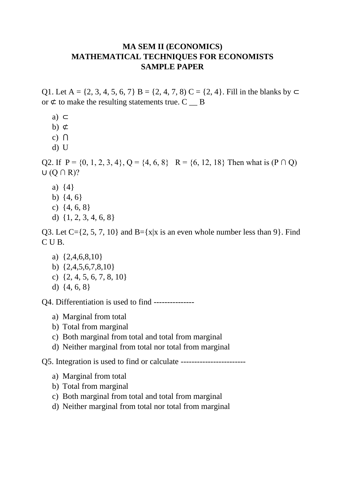## **MA SEM II (ECONOMICS) MATHEMATICAL TECHNIQUES FOR ECONOMISTS SAMPLE PAPER**

Q1. Let A = {2, 3, 4, 5, 6, 7} B = {2, 4, 7, 8} C = {2, 4}. Fill in the blanks by  $\subset$ or  $\phi$  to make the resulting statements true. C  $\Box$  B

- a) ⊂
- b)  $\phi$
- c)  $\bigcap$
- d) U

Q2. If  $P = \{0, 1, 2, 3, 4\}$ ,  $Q = \{4, 6, 8\}$   $R = \{6, 12, 18\}$  Then what is  $(P \cap Q)$  $U$  (Q  $\cap$  R)?

- a) {4}
- b) {4, 6}
- c) {4, 6, 8}
- d) {1, 2, 3, 4, 6, 8}

Q3. Let  $C = \{2, 5, 7, 10\}$  and  $B = \{x|x \text{ is an even whole number less than } 9\}$ . Find C U B.

- a) {2,4,6,8,10}
- b) {2,4,5,6,7,8,10}
- c)  $\{2, 4, 5, 6, 7, 8, 10\}$
- d) {4, 6, 8}

Q4. Differentiation is used to find ---------------

- a) Marginal from total
- b) Total from marginal
- c) Both marginal from total and total from marginal
- d) Neither marginal from total nor total from marginal

Q5. Integration is used to find or calculate ------------------------

- a) Marginal from total
- b) Total from marginal
- c) Both marginal from total and total from marginal
- d) Neither marginal from total nor total from marginal